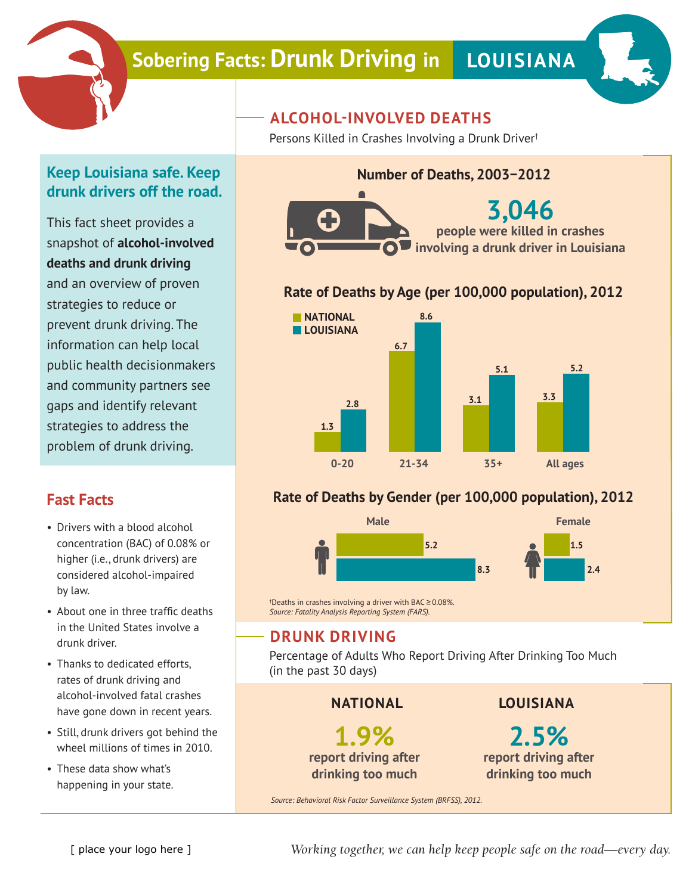

# **Sobering Facts: Drunk Driving in LOUISIANA**



#### **Keep Louisiana safe. Keep drunk drivers off the road.**

This fact sheet provides a snapshot of **alcohol-involved deaths and drunk driving** and an overview of proven strategies to reduce or prevent drunk driving. The information can help local public health decisionmakers and community partners see gaps and identify relevant strategies to address the problem of drunk driving.

#### **Fast Facts**

- Drivers with a blood alcohol concentration (BAC) of 0.08% or higher (i.e., drunk drivers) are considered alcohol-impaired by law.
- About one in three traffic deaths in the United States involve a drunk driver.
- Thanks to dedicated efforts, rates of drunk driving and alcohol-involved fatal crashes have gone down in recent years.
- Still, drunk drivers got behind the wheel millions of times in 2010.
- These data show what's happening in your state.

## **ALCOHOL-INVOLVED DEATHS**

Persons Killed in Crashes Involving a Drunk Driver†

## **Number of Deaths, 2003−2012**



#### **Rate of Deaths by Age (per 100,000 population), 2012**



#### **Rate of Deaths by Gender (per 100,000 population), 2012**



† Deaths in crashes involving a driver with BAC ≥ 0.08%. *Source: Fatality Analysis Reporting System (FARS).*

#### **DRUNK DRIVING**

Percentage of Adults Who Report Driving After Drinking Too Much (in the past 30 days)

**NATIONAL**

**1.9% report driving after drinking too much**

**LOUISIANA**

**2.5% report driving after drinking too much**

*Source: Behavioral Risk Factor Surveillance System (BRFSS), 2012.*

*Working together, we can help keep people safe on the road—every day.*